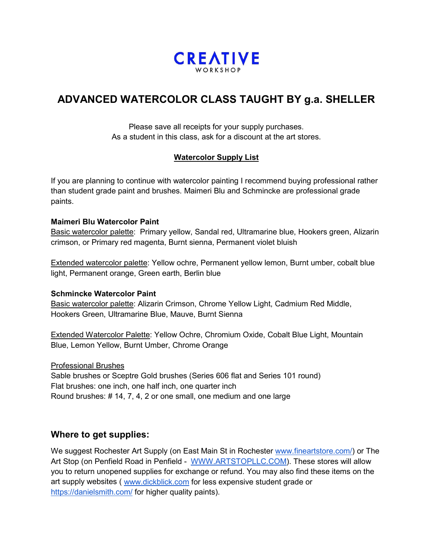

# **ADVANCED WATERCOLOR CLASS TAUGHT BY g.a. SHELLER**

Please save all receipts for your supply purchases. As a student in this class, ask for a discount at the art stores.

## **Watercolor Supply List**

If you are planning to continue with watercolor painting I recommend buying professional rather than student grade paint and brushes. Maimeri Blu and Schmincke are professional grade paints.

#### **Maimeri Blu Watercolor Paint**

Basic watercolor palette: Primary yellow, Sandal red, Ultramarine blue, Hookers green, Alizarin crimson, or Primary red magenta, Burnt sienna, Permanent violet bluish

Extended watercolor palette: Yellow ochre, Permanent yellow lemon, Burnt umber, cobalt blue light, Permanent orange, Green earth, Berlin blue

#### **Schmincke Watercolor Paint**

Basic watercolor palette: Alizarin Crimson, Chrome Yellow Light, Cadmium Red Middle, Hookers Green, Ultramarine Blue, Mauve, Burnt Sienna

Extended Watercolor Palette: Yellow Ochre, Chromium Oxide, Cobalt Blue Light, Mountain Blue, Lemon Yellow, Burnt Umber, Chrome Orange

#### Professional Brushes

Sable brushes or Sceptre Gold brushes (Series 606 flat and Series 101 round) Flat brushes: one inch, one half inch, one quarter inch Round brushes: # 14, 7, 4, 2 or one small, one medium and one large

# **Where to get supplies:**

We suggest Rochester Art Supply (on East Main St in Rochester [www.fineartstore.com/\)](http://www.fineartstore.com/) or The Art Stop (on Penfield Road in Penfield - [WWW.ARTSTOPLLC.COM\)](http://www.artstopllc.com/). These stores will allow you to return unopened supplies for exchange or refund. You may also find these items on the art supply websites ( [www.dickblick.com](http://www.dickblick.com/) for less expensive student grade or <https://danielsmith.com/> for higher quality paints).